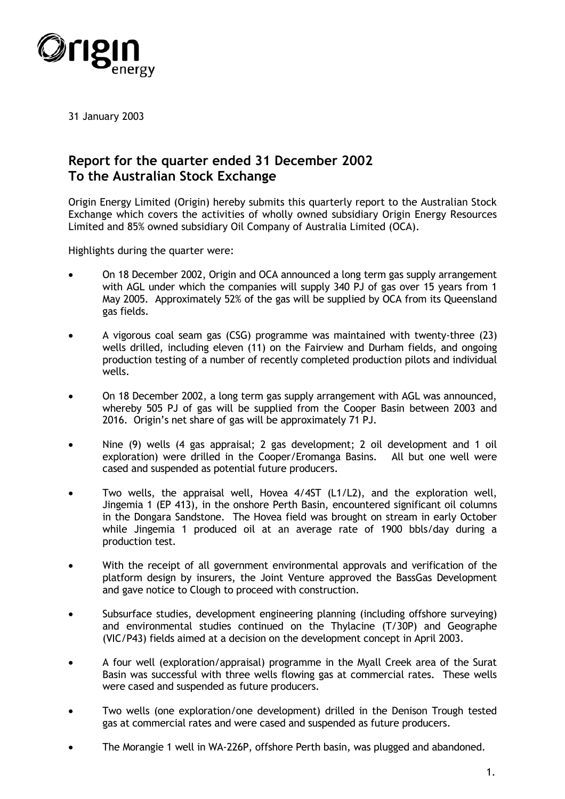

31 January 2003

# **Report for the quarter ended 31 December 2002 To the Australian Stock Exchange**

Origin Energy Limited (Origin) hereby submits this quarterly report to the Australian Stock Exchange which covers the activities of wholly owned subsidiary Origin Energy Resources Limited and 85% owned subsidiary Oil Company of Australia Limited (OCA).

Highlights during the quarter were:

- - On 18 December 2002, Origin and OCA announced a long term gas supply arrangement with AGL under which the companies will supply 340 PJ of gas over 15 years from 1 May 2005. Approximately 52% of the gas will be supplied by OCA from its Queensland gas fields.
- $\bullet$  A vigorous coal seam gas (CSG) programme was maintained with twenty-three (23) wells drilled, including eleven (11) on the Fairview and Durham fields, and ongoing production testing of a number of recently completed production pilots and individual wells.
- - On 18 December 2002, a long term gas supply arrangement with AGL was announced, whereby 505 PJ of gas will be supplied from the Cooper Basin between 2003 and 2016. Origin's net share of gas will be approximately 71 PJ.
- - Nine (9) wells (4 gas appraisal; 2 gas development; 2 oil development and 1 oil exploration) were drilled in the Cooper/Eromanga Basins. All but one well were cased and suspended as potential future producers.
- - Two wells, the appraisal well, Hovea 4/4ST (L1/L2), and the exploration well, Jingemia 1 (EP 413), in the onshore Perth Basin, encountered significant oil columns in the Dongara Sandstone. The Hovea field was brought on stream in early October while Jingemia 1 produced oil at an average rate of 1900 bbls/day during a production test.
- - With the receipt of all government environmental approvals and verification of the platform design by insurers, the Joint Venture approved the BassGas Development and gave notice to Clough to proceed with construction.
- $\bullet$  Subsurface studies, development engineering planning (including offshore surveying) and environmental studies continued on the Thylacine (T/30P) and Geographe (VIC/P43) fields aimed at a decision on the development concept in April 2003.
- - A four well (exploration/appraisal) programme in the Myall Creek area of the Surat Basin was successful with three wells flowing gas at commercial rates. These wells were cased and suspended as future producers.
- - Two wells (one exploration/one development) drilled in the Denison Trough tested gas at commercial rates and were cased and suspended as future producers.
- -The Morangie 1 well in WA-226P, offshore Perth basin, was plugged and abandoned.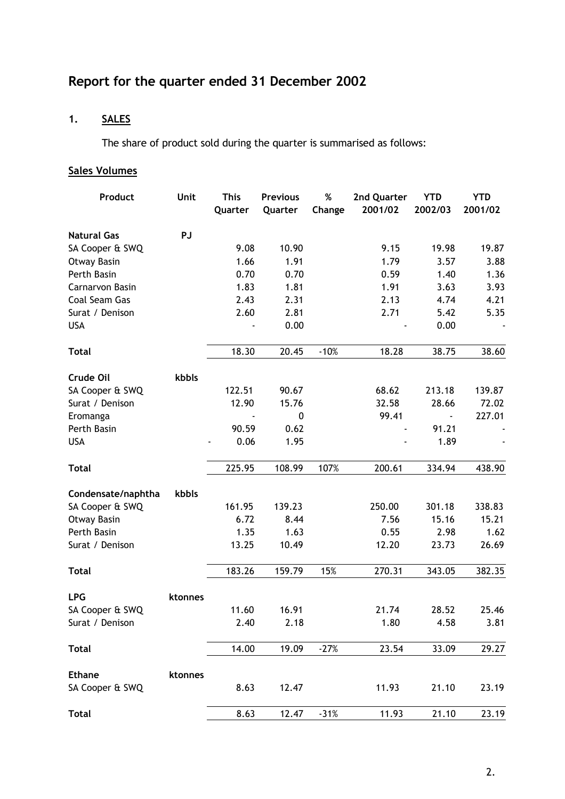# **Report for the quarter ended 31 December 2002**

## **1. SALES**

The share of product sold during the quarter is summarised as follows:

## **Sales Volumes**

| Product            | Unit    | <b>This</b><br>Quarter | <b>Previous</b><br>Quarter | $\%$<br>Change | 2nd Quarter<br>2001/02 | <b>YTD</b><br>2002/03 | <b>YTD</b><br>2001/02 |
|--------------------|---------|------------------------|----------------------------|----------------|------------------------|-----------------------|-----------------------|
| <b>Natural Gas</b> | PJ      |                        |                            |                |                        |                       |                       |
| SA Cooper & SWQ    |         | 9.08                   | 10.90                      |                | 9.15                   | 19.98                 | 19.87                 |
| Otway Basin        |         | 1.66                   | 1.91                       |                | 1.79                   | 3.57                  | 3.88                  |
| Perth Basin        |         | 0.70                   | 0.70                       |                | 0.59                   | 1.40                  | 1.36                  |
| Carnarvon Basin    |         | 1.83                   | 1.81                       |                | 1.91                   | 3.63                  | 3.93                  |
| Coal Seam Gas      |         | 2.43                   | 2.31                       |                | 2.13                   | 4.74                  | 4.21                  |
| Surat / Denison    |         | 2.60                   | 2.81                       |                | 2.71                   | 5.42                  | 5.35                  |
| <b>USA</b>         |         |                        | 0.00                       |                |                        | 0.00                  |                       |
| <b>Total</b>       |         | 18.30                  | 20.45                      | $-10%$         | 18.28                  | 38.75                 | 38.60                 |
| Crude Oil          | kbbls   |                        |                            |                |                        |                       |                       |
| SA Cooper & SWQ    |         | 122.51                 | 90.67                      |                | 68.62                  | 213.18                | 139.87                |
| Surat / Denison    |         | 12.90                  | 15.76                      |                | 32.58                  | 28.66                 | 72.02                 |
| Eromanga           |         |                        | 0                          |                | 99.41                  | $\blacksquare$        | 227.01                |
| Perth Basin        |         | 90.59                  | 0.62                       |                |                        | 91.21                 |                       |
| <b>USA</b>         |         | 0.06                   | 1.95                       |                |                        | 1.89                  |                       |
| <b>Total</b>       |         | 225.95                 | 108.99                     | 107%           | 200.61                 | 334.94                | 438.90                |
| Condensate/naphtha | kbbls   |                        |                            |                |                        |                       |                       |
| SA Cooper & SWQ    |         | 161.95                 | 139.23                     |                | 250.00                 | 301.18                | 338.83                |
| <b>Otway Basin</b> |         | 6.72                   | 8.44                       |                | 7.56                   | 15.16                 | 15.21                 |
| Perth Basin        |         | 1.35                   | 1.63                       |                | 0.55                   | 2.98                  | 1.62                  |
| Surat / Denison    |         | 13.25                  | 10.49                      |                | 12.20                  | 23.73                 | 26.69                 |
| <b>Total</b>       |         | 183.26                 | 159.79                     | 15%            | 270.31                 | 343.05                | 382.35                |
| <b>LPG</b>         | ktonnes |                        |                            |                |                        |                       |                       |
| SA Cooper & SWQ    |         | 11.60                  | 16.91                      |                | 21.74                  | 28.52                 | 25.46                 |
| Surat / Denison    |         | 2.40                   | 2.18                       |                | 1.80                   | 4.58                  | 3.81                  |
| <b>Total</b>       |         | 14.00                  | 19.09                      | $-27%$         | 23.54                  | 33.09                 | 29.27                 |
| <b>Ethane</b>      | ktonnes |                        |                            |                |                        |                       |                       |
| SA Cooper & SWQ    |         | 8.63                   | 12.47                      |                | 11.93                  | 21.10                 | 23.19                 |
| <b>Total</b>       |         | 8.63                   | 12.47                      | $-31%$         | 11.93                  | 21.10                 | 23.19                 |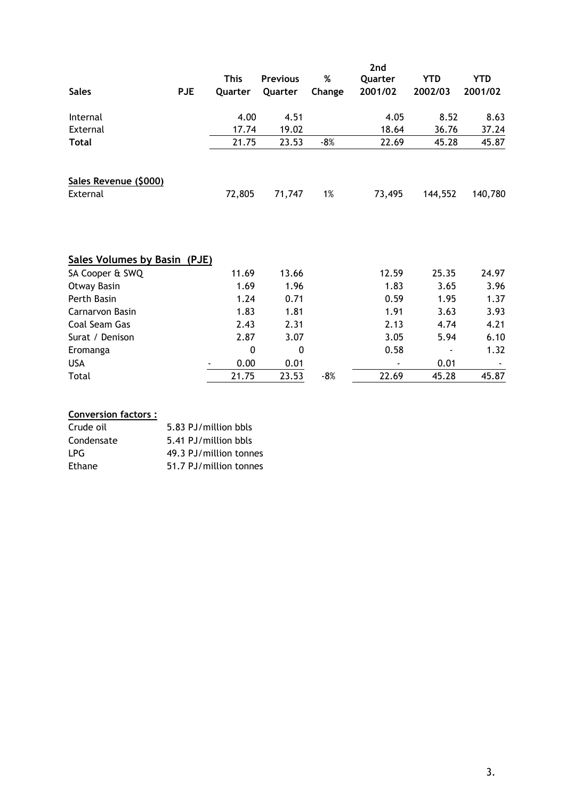| <b>Sales</b>                      | <b>PJE</b> | <b>This</b><br>Quarter | <b>Previous</b><br>Quarter | %<br>Change | 2nd<br>Quarter<br>2001/02 | <b>YTD</b><br>2002/03 | <b>YTD</b><br>2001/02 |
|-----------------------------------|------------|------------------------|----------------------------|-------------|---------------------------|-----------------------|-----------------------|
| Internal                          |            | 4.00                   | 4.51                       |             | 4.05                      | 8.52                  | 8.63                  |
| External                          |            | 17.74                  | 19.02                      |             | 18.64                     | 36.76                 | 37.24                 |
| Total                             |            | 21.75                  | 23.53                      | $-8%$       | 22.69                     | 45.28                 | 45.87                 |
| Sales Revenue (\$000)<br>External |            | 72,805                 | 71,747                     | 1%          | 73,495                    | 144,552               | 140,780               |
| Sales Volumes by Basin (PJE)      |            |                        |                            |             |                           |                       |                       |
| SA Cooper & SWQ<br>Otway Basin    |            | 11.69<br>1.69          | 13.66<br>1.96              |             | 12.59<br>1.83             | 25.35<br>3.65         | 24.97<br>3.96         |
| Perth Basin                       |            | 1.24                   | 0.71                       |             | 0.59                      | 1.95                  | 1.37                  |
| Carnarvon Basin                   |            | 1.83                   | 1.81                       |             | 1.91                      | 3.63                  | 3.93                  |
| Coal Seam Gas                     |            | 2.43                   | 2.31                       |             | 2.13                      | 4.74                  | 4.21                  |
| Surat / Denison                   |            | 2.87                   | 3.07                       |             | 3.05                      | 5.94                  | 6.10                  |
| Eromanga                          |            | $\mathbf 0$            | 0                          |             | 0.58                      |                       | 1.32                  |
| <b>USA</b>                        |            | 0.00                   | 0.01                       |             |                           | 0.01                  |                       |
| Total                             |            | 21.75                  | 23.53                      | $-8%$       | 22.69                     | 45.28                 | 45.87                 |

| <b>Conversion factors:</b> |                        |
|----------------------------|------------------------|
| Crude oil                  | 5.83 PJ/million bbls   |
| Condensate                 | 5.41 PJ/million bbls   |
| LPG.                       | 49.3 PJ/million tonnes |
| Ethane                     | 51.7 PJ/million tonnes |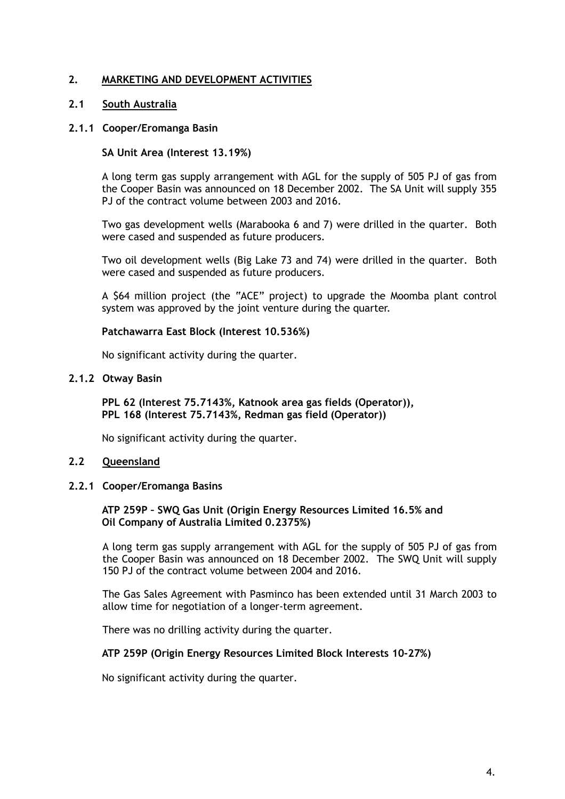## **2. MARKETING AND DEVELOPMENT ACTIVITIES**

## **2.1 South Australia**

## **2.1.1 Cooper/Eromanga Basin**

## **SA Unit Area (Interest 13.19%)**

A long term gas supply arrangement with AGL for the supply of 505 PJ of gas from the Cooper Basin was announced on 18 December 2002. The SA Unit will supply 355 PJ of the contract volume between 2003 and 2016.

Two gas development wells (Marabooka 6 and 7) were drilled in the quarter. Both were cased and suspended as future producers.

Two oil development wells (Big Lake 73 and 74) were drilled in the quarter. Both were cased and suspended as future producers.

A \$64 million project (the "ACE" project) to upgrade the Moomba plant control system was approved by the joint venture during the quarter.

#### **Patchawarra East Block (Interest 10.536%)**

No significant activity during the quarter.

#### **2.1.2 Otway Basin**

**PPL 62 (Interest 75.7143%, Katnook area gas fields (Operator)), PPL 168 (Interest 75.7143%, Redman gas field (Operator))** 

No significant activity during the quarter.

## **2.2 Queensland**

## **2.2.1 Cooper/Eromanga Basins**

## **ATP 259P – SWQ Gas Unit (Origin Energy Resources Limited 16.5% and Oil Company of Australia Limited 0.2375%)**

A long term gas supply arrangement with AGL for the supply of 505 PJ of gas from the Cooper Basin was announced on 18 December 2002. The SWQ Unit will supply 150 PJ of the contract volume between 2004 and 2016.

The Gas Sales Agreement with Pasminco has been extended until 31 March 2003 to allow time for negotiation of a longer-term agreement.

There was no drilling activity during the quarter.

## **ATP 259P (Origin Energy Resources Limited Block Interests 10-27%)**

No significant activity during the quarter.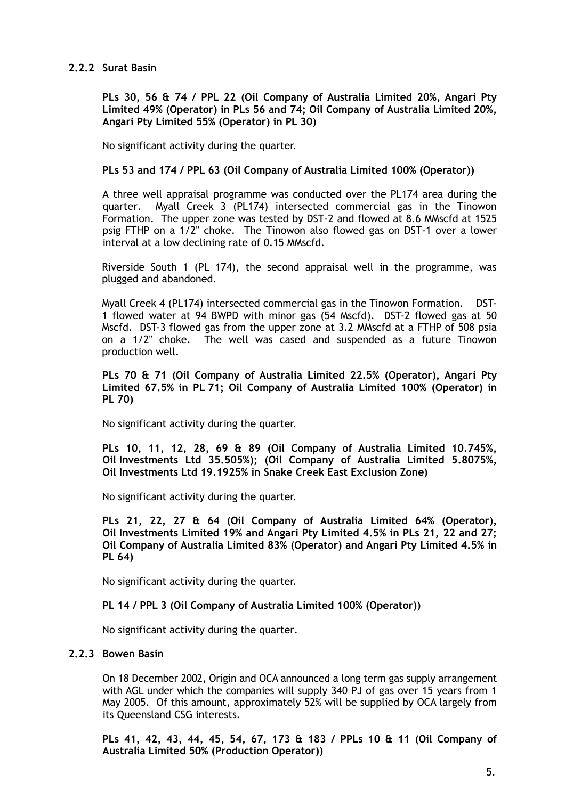## **2.2.2 Surat Basin**

**PLs 30, 56 & 74 / PPL 22 (Oil Company of Australia Limited 20%, Angari Pty Limited 49% (Operator) in PLs 56 and 74; Oil Company of Australia Limited 20%, Angari Pty Limited 55% (Operator) in PL 30)** 

No significant activity during the quarter.

#### **PLs 53 and 174 / PPL 63 (Oil Company of Australia Limited 100% (Operator))**

A three well appraisal programme was conducted over the PL174 area during the quarter. Myall Creek 3 (PL174) intersected commercial gas in the Tinowon Formation. The upper zone was tested by DST-2 and flowed at 8.6 MMscfd at 1525 psig FTHP on a 1/2" choke. The Tinowon also flowed gas on DST-1 over a lower interval at a low declining rate of 0.15 MMscfd.

Riverside South 1 (PL 174), the second appraisal well in the programme, was plugged and abandoned.

Myall Creek 4 (PL174) intersected commercial gas in the Tinowon Formation. DST-1 flowed water at 94 BWPD with minor gas (54 Mscfd). DST-2 flowed gas at 50 Mscfd. DST-3 flowed gas from the upper zone at 3.2 MMscfd at a FTHP of 508 psia on a 1/2" choke. The well was cased and suspended as a future Tinowon production well.

**PLs 70 & 71 (Oil Company of Australia Limited 22.5% (Operator), Angari Pty Limited 67.5% in PL 71; Oil Company of Australia Limited 100% (Operator) in PL 70)** 

No significant activity during the quarter.

**PLs 10, 11, 12, 28, 69 & 89 (Oil Company of Australia Limited 10.745%, Oil Investments Ltd 35.505%); (Oil Company of Australia Limited 5.8075%, Oil Investments Ltd 19.1925% in Snake Creek East Exclusion Zone)** 

No significant activity during the quarter.

**PLs 21, 22, 27 & 64 (Oil Company of Australia Limited 64% (Operator), Oil Investments Limited 19% and Angari Pty Limited 4.5% in PLs 21, 22 and 27; Oil Company of Australia Limited 83% (Operator) and Angari Pty Limited 4.5% in PL 64)** 

No significant activity during the quarter.

**PL 14 / PPL 3 (Oil Company of Australia Limited 100% (Operator))** 

No significant activity during the quarter.

## **2.2.3 Bowen Basin**

On 18 December 2002, Origin and OCA announced a long term gas supply arrangement with AGL under which the companies will supply 340 PJ of gas over 15 years from 1 May 2005. Of this amount, approximately 52% will be supplied by OCA largely from its Queensland CSG interests.

**PLs 41, 42, 43, 44, 45, 54, 67, 173 & 183 / PPLs 10 & 11 (Oil Company of Australia Limited 50% (Production Operator))**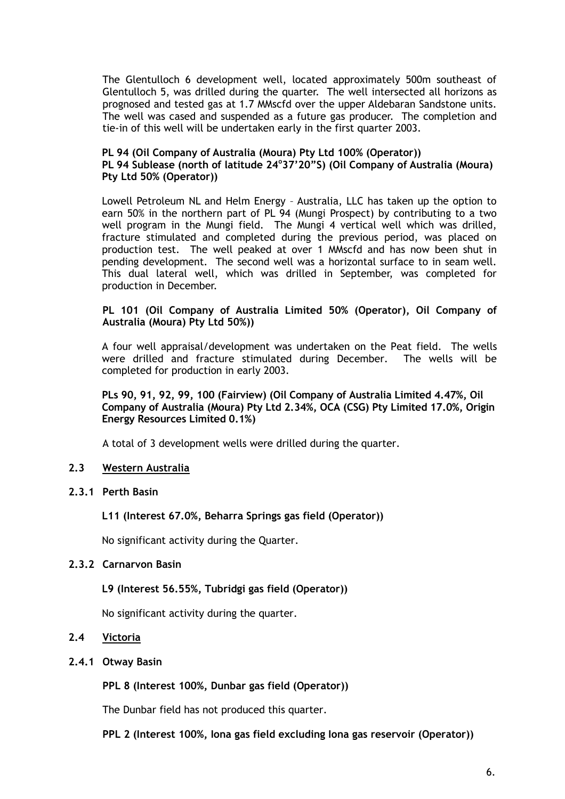The Glentulloch 6 development well, located approximately 500m southeast of Glentulloch 5, was drilled during the quarter. The well intersected all horizons as prognosed and tested gas at 1.7 MMscfd over the upper Aldebaran Sandstone units. The well was cased and suspended as a future gas producer. The completion and tie-in of this well will be undertaken early in the first quarter 2003.

#### **PL 94 (Oil Company of Australia (Moura) Pty Ltd 100% (Operator)) PL 94 Sublease (north of latitude 24<sup>o</sup> 37'20"S) (Oil Company of Australia (Moura) Pty Ltd 50% (Operator))**

Lowell Petroleum NL and Helm Energy – Australia, LLC has taken up the option to earn 50% in the northern part of PL 94 (Mungi Prospect) by contributing to a two well program in the Mungi field. The Mungi 4 vertical well which was drilled, fracture stimulated and completed during the previous period, was placed on production test. The well peaked at over 1 MMscfd and has now been shut in pending development. The second well was a horizontal surface to in seam well. This dual lateral well, which was drilled in September, was completed for production in December.

## **PL 101 (Oil Company of Australia Limited 50% (Operator), Oil Company of Australia (Moura) Pty Ltd 50%))**

A four well appraisal/development was undertaken on the Peat field. The wells were drilled and fracture stimulated during December. The wells will be completed for production in early 2003.

## **PLs 90, 91, 92, 99, 100 (Fairview) (Oil Company of Australia Limited 4.47%, Oil Company of Australia (Moura) Pty Ltd 2.34%, OCA (CSG) Pty Limited 17.0%, Origin Energy Resources Limited 0.1%)**

A total of 3 development wells were drilled during the quarter.

## **2.3 Western Australia**

## **2.3.1 Perth Basin**

## **L11 (Interest 67.0%, Beharra Springs gas field (Operator))**

No significant activity during the Quarter.

## **2.3.2 Carnarvon Basin**

## **L9 (Interest 56.55%, Tubridgi gas field (Operator))**

No significant activity during the quarter.

## **2.4 Victoria**

#### **2.4.1 Otway Basin**

**PPL 8 (Interest 100%, Dunbar gas field (Operator))** 

The Dunbar field has not produced this quarter.

**PPL 2 (Interest 100%, Iona gas field excluding Iona gas reservoir (Operator))**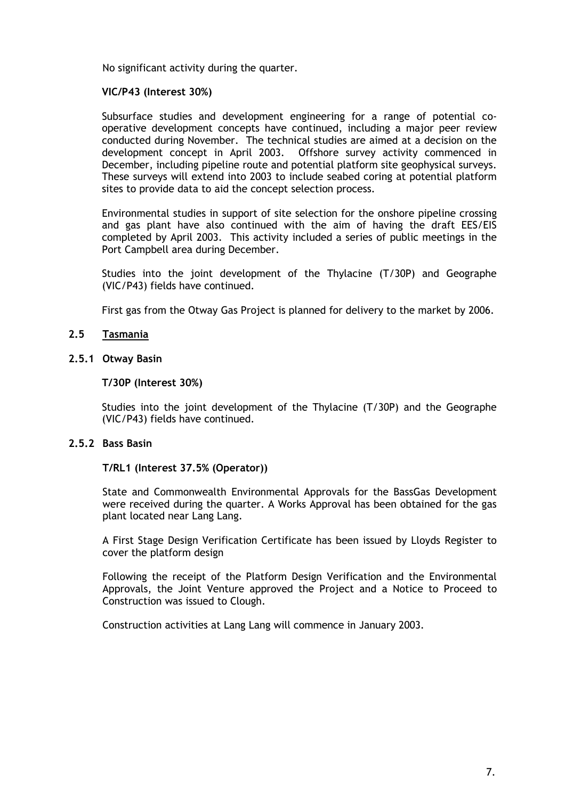No significant activity during the quarter.

## **VIC/P43 (Interest 30%)**

Subsurface studies and development engineering for a range of potential cooperative development concepts have continued, including a major peer review conducted during November. The technical studies are aimed at a decision on the development concept in April 2003. Offshore survey activity commenced in December, including pipeline route and potential platform site geophysical surveys. These surveys will extend into 2003 to include seabed coring at potential platform sites to provide data to aid the concept selection process.

Environmental studies in support of site selection for the onshore pipeline crossing and gas plant have also continued with the aim of having the draft EES/EIS completed by April 2003. This activity included a series of public meetings in the Port Campbell area during December.

Studies into the joint development of the Thylacine (T/30P) and Geographe (VIC/P43) fields have continued.

First gas from the Otway Gas Project is planned for delivery to the market by 2006.

#### **2.5 Tasmania**

#### **2.5.1 Otway Basin**

#### **T/30P (Interest 30%)**

Studies into the joint development of the Thylacine (T/30P) and the Geographe (VIC/P43) fields have continued.

#### **2.5.2 Bass Basin**

#### **T/RL1 (Interest 37.5% (Operator))**

State and Commonwealth Environmental Approvals for the BassGas Development were received during the quarter. A Works Approval has been obtained for the gas plant located near Lang Lang.

A First Stage Design Verification Certificate has been issued by Lloyds Register to cover the platform design

Following the receipt of the Platform Design Verification and the Environmental Approvals, the Joint Venture approved the Project and a Notice to Proceed to Construction was issued to Clough.

Construction activities at Lang Lang will commence in January 2003.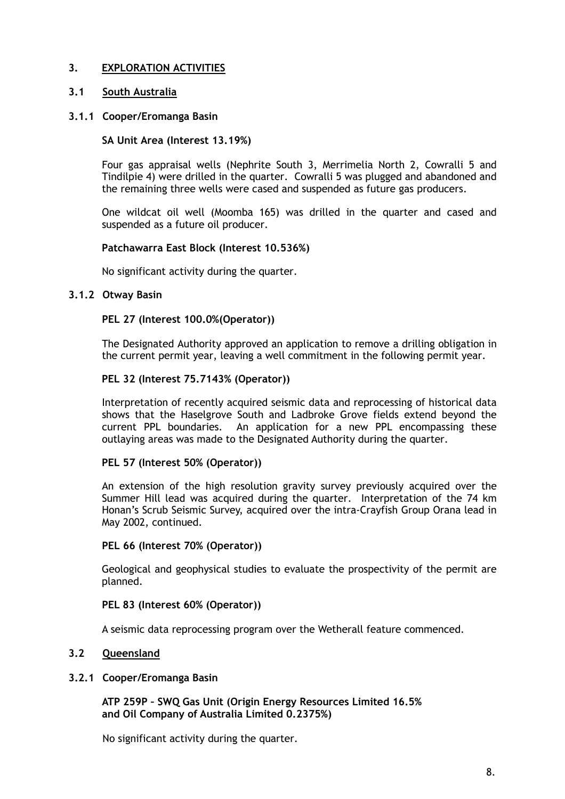## **3. EXPLORATION ACTIVITIES**

## **3.1 South Australia**

## **3.1.1 Cooper/Eromanga Basin**

## **SA Unit Area (Interest 13.19%)**

Four gas appraisal wells (Nephrite South 3, Merrimelia North 2, Cowralli 5 and Tindilpie 4) were drilled in the quarter. Cowralli 5 was plugged and abandoned and the remaining three wells were cased and suspended as future gas producers.

One wildcat oil well (Moomba 165) was drilled in the quarter and cased and suspended as a future oil producer.

## **Patchawarra East Block (Interest 10.536%)**

No significant activity during the quarter.

## **3.1.2 Otway Basin**

## **PEL 27 (Interest 100.0%(Operator))**

The Designated Authority approved an application to remove a drilling obligation in the current permit year, leaving a well commitment in the following permit year.

## **PEL 32 (Interest 75.7143% (Operator))**

Interpretation of recently acquired seismic data and reprocessing of historical data shows that the Haselgrove South and Ladbroke Grove fields extend beyond the current PPL boundaries. An application for a new PPL encompassing these outlaying areas was made to the Designated Authority during the quarter.

## **PEL 57 (Interest 50% (Operator))**

An extension of the high resolution gravity survey previously acquired over the Summer Hill lead was acquired during the quarter. Interpretation of the 74 km Honan's Scrub Seismic Survey, acquired over the intra-Crayfish Group Orana lead in May 2002, continued.

## **PEL 66 (Interest 70% (Operator))**

Geological and geophysical studies to evaluate the prospectivity of the permit are planned.

## **PEL 83 (Interest 60% (Operator))**

A seismic data reprocessing program over the Wetherall feature commenced.

## **3.2 Queensland**

## **3.2.1 Cooper/Eromanga Basin**

**ATP 259P – SWQ Gas Unit (Origin Energy Resources Limited 16.5% and Oil Company of Australia Limited 0.2375%)** 

No significant activity during the quarter.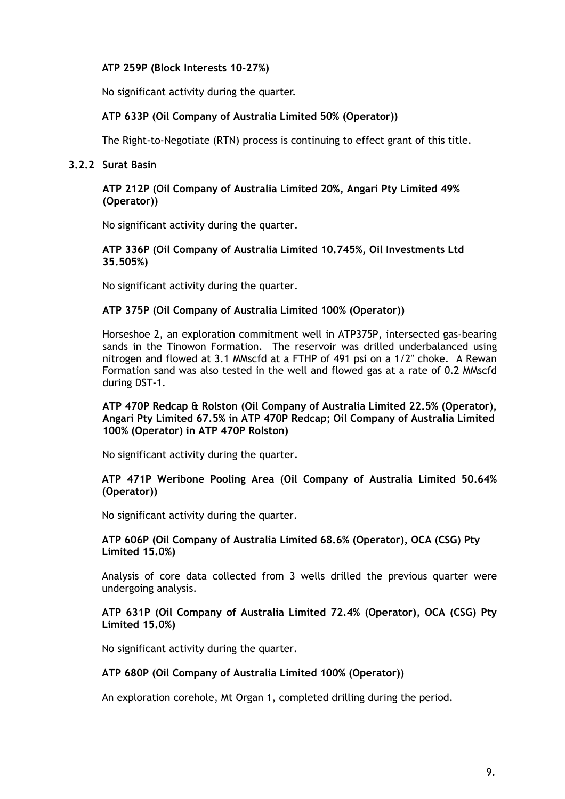## **ATP 259P (Block Interests 10-27%)**

No significant activity during the quarter.

## **ATP 633P (Oil Company of Australia Limited 50% (Operator))**

The Right-to-Negotiate (RTN) process is continuing to effect grant of this title.

## **3.2.2 Surat Basin**

**ATP 212P (Oil Company of Australia Limited 20%, Angari Pty Limited 49% (Operator))** 

No significant activity during the quarter.

**ATP 336P (Oil Company of Australia Limited 10.745%, Oil Investments Ltd 35.505%)** 

No significant activity during the quarter.

## **ATP 375P (Oil Company of Australia Limited 100% (Operator))**

Horseshoe 2, an exploration commitment well in ATP375P, intersected gas-bearing sands in the Tinowon Formation. The reservoir was drilled underbalanced using nitrogen and flowed at 3.1 MMscfd at a FTHP of 491 psi on a 1/2" choke. A Rewan Formation sand was also tested in the well and flowed gas at a rate of 0.2 MMscfd during DST-1.

#### **ATP 470P Redcap & Rolston (Oil Company of Australia Limited 22.5% (Operator), Angari Pty Limited 67.5% in ATP 470P Redcap; Oil Company of Australia Limited 100% (Operator) in ATP 470P Rolston)**

No significant activity during the quarter.

#### **ATP 471P Weribone Pooling Area (Oil Company of Australia Limited 50.64% (Operator))**

No significant activity during the quarter.

## **ATP 606P (Oil Company of Australia Limited 68.6% (Operator), OCA (CSG) Pty Limited 15.0%)**

Analysis of core data collected from 3 wells drilled the previous quarter were undergoing analysis.

## **ATP 631P (Oil Company of Australia Limited 72.4% (Operator), OCA (CSG) Pty Limited 15.0%)**

No significant activity during the quarter.

## **ATP 680P (Oil Company of Australia Limited 100% (Operator))**

An exploration corehole, Mt Organ 1, completed drilling during the period.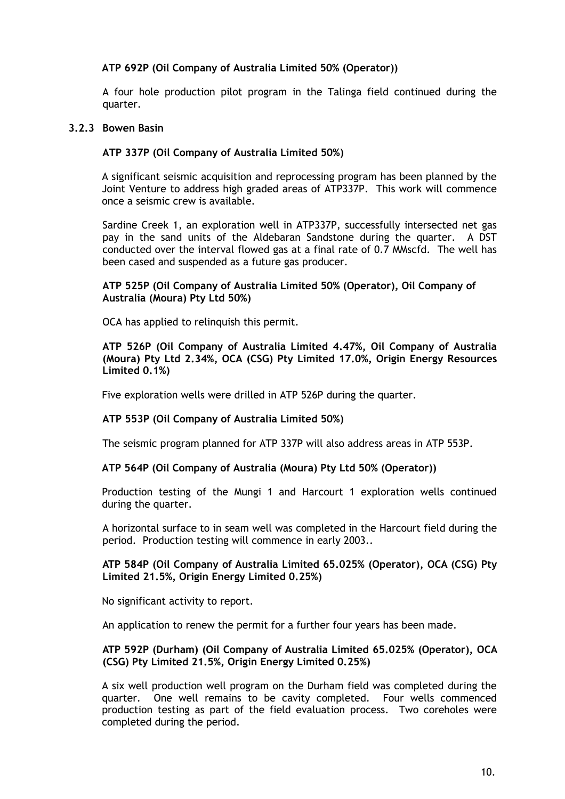## **ATP 692P (Oil Company of Australia Limited 50% (Operator))**

A four hole production pilot program in the Talinga field continued during the quarter.

#### **3.2.3 Bowen Basin**

## **ATP 337P (Oil Company of Australia Limited 50%)**

A significant seismic acquisition and reprocessing program has been planned by the Joint Venture to address high graded areas of ATP337P. This work will commence once a seismic crew is available.

Sardine Creek 1, an exploration well in ATP337P, successfully intersected net gas pay in the sand units of the Aldebaran Sandstone during the quarter. A DST conducted over the interval flowed gas at a final rate of 0.7 MMscfd. The well has been cased and suspended as a future gas producer.

#### **ATP 525P (Oil Company of Australia Limited 50% (Operator), Oil Company of Australia (Moura) Pty Ltd 50%)**

OCA has applied to relinquish this permit.

**ATP 526P (Oil Company of Australia Limited 4.47%, Oil Company of Australia (Moura) Pty Ltd 2.34%, OCA (CSG) Pty Limited 17.0%, Origin Energy Resources Limited 0.1%)**

Five exploration wells were drilled in ATP 526P during the quarter.

## **ATP 553P (Oil Company of Australia Limited 50%)**

The seismic program planned for ATP 337P will also address areas in ATP 553P.

#### **ATP 564P (Oil Company of Australia (Moura) Pty Ltd 50% (Operator))**

Production testing of the Mungi 1 and Harcourt 1 exploration wells continued during the quarter.

A horizontal surface to in seam well was completed in the Harcourt field during the period. Production testing will commence in early 2003..

#### **ATP 584P (Oil Company of Australia Limited 65.025% (Operator), OCA (CSG) Pty Limited 21.5%, Origin Energy Limited 0.25%)**

No significant activity to report.

An application to renew the permit for a further four years has been made.

**ATP 592P (Durham) (Oil Company of Australia Limited 65.025% (Operator), OCA (CSG) Pty Limited 21.5%, Origin Energy Limited 0.25%)** 

A six well production well program on the Durham field was completed during the quarter. One well remains to be cavity completed. Four wells commenced production testing as part of the field evaluation process. Two coreholes were completed during the period.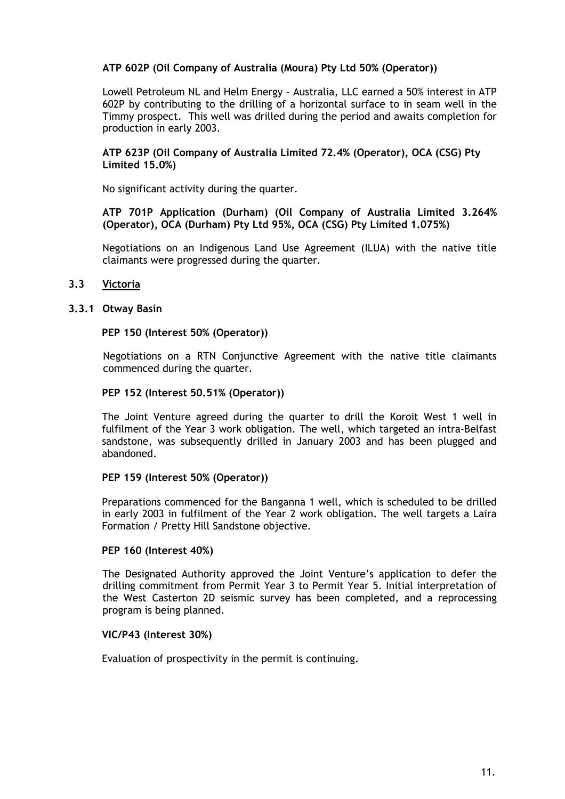## **ATP 602P (Oil Company of Australia (Moura) Pty Ltd 50% (Operator))**

Lowell Petroleum NL and Helm Energy – Australia, LLC earned a 50% interest in ATP 602P by contributing to the drilling of a horizontal surface to in seam well in the Timmy prospect. This well was drilled during the period and awaits completion for production in early 2003.

#### **ATP 623P (Oil Company of Australia Limited 72.4% (Operator), OCA (CSG) Pty Limited 15.0%)**

No significant activity during the quarter.

#### **ATP 701P Application (Durham) (Oil Company of Australia Limited 3.264% (Operator), OCA (Durham) Pty Ltd 95%, OCA (CSG) Pty Limited 1.075%)**

Negotiations on an Indigenous Land Use Agreement (ILUA) with the native title claimants were progressed during the quarter.

## **3.3 Victoria**

#### **3.3.1 Otway Basin**

#### **PEP 150 (Interest 50% (Operator))**

Negotiations on a RTN Conjunctive Agreement with the native title claimants commenced during the quarter.

#### **PEP 152 (Interest 50.51% (Operator))**

The Joint Venture agreed during the quarter to drill the Koroit West 1 well in fulfilment of the Year 3 work obligation. The well, which targeted an intra-Belfast sandstone, was subsequently drilled in January 2003 and has been plugged and abandoned.

#### **PEP 159 (Interest 50% (Operator))**

Preparations commenced for the Banganna 1 well, which is scheduled to be drilled in early 2003 in fulfilment of the Year 2 work obligation. The well targets a Laira Formation / Pretty Hill Sandstone objective.

#### **PEP 160 (Interest 40%)**

The Designated Authority approved the Joint Venture's application to defer the drilling commitment from Permit Year 3 to Permit Year 5. Initial interpretation of the West Casterton 2D seismic survey has been completed, and a reprocessing program is being planned.

#### **VIC/P43 (Interest 30%)**

Evaluation of prospectivity in the permit is continuing.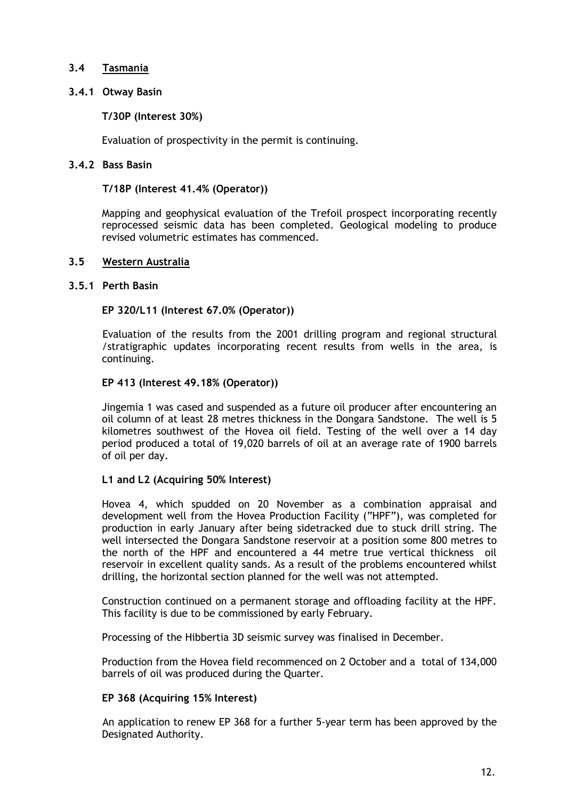## **3.4 Tasmania**

## **3.4.1 Otway Basin**

## **T/30P (Interest 30%)**

Evaluation of prospectivity in the permit is continuing.

## **3.4.2 Bass Basin**

## **T/18P (Interest 41.4% (Operator))**

Mapping and geophysical evaluation of the Trefoil prospect incorporating recently reprocessed seismic data has been completed. Geological modeling to produce revised volumetric estimates has commenced.

## **3.5 Western Australia**

## **3.5.1 Perth Basin**

## **EP 320/L11 (Interest 67.0% (Operator))**

 Evaluation of the results from the 2001 drilling program and regional structural /stratigraphic updates incorporating recent results from wells in the area, is continuing.

## **EP 413 (Interest 49.18% (Operator))**

Jingemia 1 was cased and suspended as a future oil producer after encountering an oil column of at least 28 metres thickness in the Dongara Sandstone. The well is 5 kilometres southwest of the Hovea oil field. Testing of the well over a 14 day period produced a total of 19,020 barrels of oil at an average rate of 1900 barrels of oil per day.

## **L1 and L2 (Acquiring 50% Interest)**

Hovea 4, which spudded on 20 November as a combination appraisal and development well from the Hovea Production Facility ("HPF"), was completed for production in early January after being sidetracked due to stuck drill string. The well intersected the Dongara Sandstone reservoir at a position some 800 metres to the north of the HPF and encountered a 44 metre true vertical thickness oil reservoir in excellent quality sands. As a result of the problems encountered whilst drilling, the horizontal section planned for the well was not attempted.

Construction continued on a permanent storage and offloading facility at the HPF. This facility is due to be commissioned by early February.

Processing of the Hibbertia 3D seismic survey was finalised in December.

Production from the Hovea field recommenced on 2 October and a total of 134,000 barrels of oil was produced during the Quarter.

## **EP 368 (Acquiring 15% Interest)**

An application to renew EP 368 for a further 5-year term has been approved by the Designated Authority.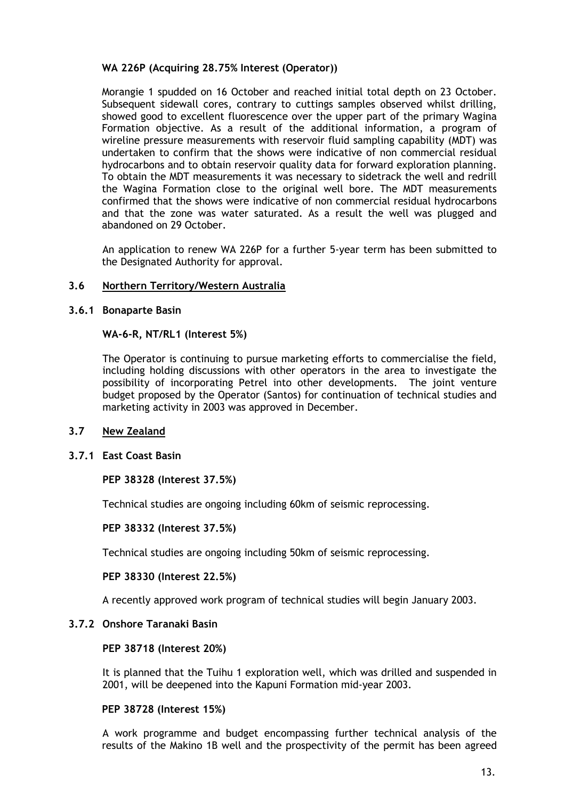## **WA 226P (Acquiring 28.75% Interest (Operator))**

Morangie 1 spudded on 16 October and reached initial total depth on 23 October. Subsequent sidewall cores, contrary to cuttings samples observed whilst drilling, showed good to excellent fluorescence over the upper part of the primary Wagina Formation objective. As a result of the additional information, a program of wireline pressure measurements with reservoir fluid sampling capability (MDT) was undertaken to confirm that the shows were indicative of non commercial residual hydrocarbons and to obtain reservoir quality data for forward exploration planning. To obtain the MDT measurements it was necessary to sidetrack the well and redrill the Wagina Formation close to the original well bore. The MDT measurements confirmed that the shows were indicative of non commercial residual hydrocarbons and that the zone was water saturated. As a result the well was plugged and abandoned on 29 October.

An application to renew WA 226P for a further 5-year term has been submitted to the Designated Authority for approval.

## **3.6 Northern Territory/Western Australia**

#### **3.6.1 Bonaparte Basin**

#### **WA-6-R, NT/RL1 (Interest 5%)**

The Operator is continuing to pursue marketing efforts to commercialise the field, including holding discussions with other operators in the area to investigate the possibility of incorporating Petrel into other developments. The joint venture budget proposed by the Operator (Santos) for continuation of technical studies and marketing activity in 2003 was approved in December.

## **3.7 New Zealand**

## **3.7.1 East Coast Basin**

## **PEP 38328 (Interest 37.5%)**

Technical studies are ongoing including 60km of seismic reprocessing.

#### **PEP 38332 (Interest 37.5%)**

Technical studies are ongoing including 50km of seismic reprocessing.

#### **PEP 38330 (Interest 22.5%)**

A recently approved work program of technical studies will begin January 2003.

## **3.7.2 Onshore Taranaki Basin**

#### **PEP 38718 (Interest 20%)**

It is planned that the Tuihu 1 exploration well, which was drilled and suspended in 2001, will be deepened into the Kapuni Formation mid-year 2003.

#### **PEP 38728 (Interest 15%)**

A work programme and budget encompassing further technical analysis of the results of the Makino 1B well and the prospectivity of the permit has been agreed